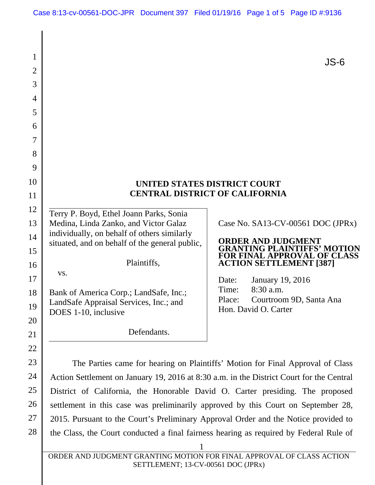| 1              |                                                                                               | $JS-6$                                                            |
|----------------|-----------------------------------------------------------------------------------------------|-------------------------------------------------------------------|
| $\overline{2}$ |                                                                                               |                                                                   |
| 3              |                                                                                               |                                                                   |
| $\overline{4}$ |                                                                                               |                                                                   |
| 5              |                                                                                               |                                                                   |
| 6              |                                                                                               |                                                                   |
| $\overline{7}$ |                                                                                               |                                                                   |
| 8              |                                                                                               |                                                                   |
| 9              |                                                                                               |                                                                   |
| 10             |                                                                                               | UNITED STATES DISTRICT COURT                                      |
| 11             | <b>CENTRAL DISTRICT OF CALIFORNIA</b>                                                         |                                                                   |
| 12             | Terry P. Boyd, Ethel Joann Parks, Sonia                                                       |                                                                   |
| 13             | Medina, Linda Zanko, and Victor Galaz                                                         | Case No. SA13-CV-00561 DOC (JPRx)                                 |
| 14             | individually, on behalf of others similarly<br>situated, and on behalf of the general public, | <b>ORDER AND JUDGMENT</b>                                         |
| 15             |                                                                                               | <b>GRANTING PLAINTIFFS' MOTION</b><br>FOR FINAL APPROVAL OF CLASS |
| 16             | Plaintiffs,                                                                                   | <b>ACTION SETTLEMENT [387]</b>                                    |
| 17             | VS.                                                                                           | January 19, 2016<br>Date:                                         |
| 18             | Bank of America Corp.; LandSafe, Inc.;                                                        | 8:30 a.m.<br>Time:<br>Place:                                      |
| 19             | LandSafe Appraisal Services, Inc.; and<br>DOES 1-10, inclusive                                | Courtroom 9D, Santa Ana<br>Hon. David O. Carter                   |
| 20             |                                                                                               |                                                                   |
| 21             | Defendants.                                                                                   |                                                                   |
| 22             |                                                                                               |                                                                   |
| 23             | The Parties came for hearing on Plaintiffs' Motion for Final Approval of Class                |                                                                   |
| 24             | Action Settlement on January 19, 2016 at 8:30 a.m. in the District Court for the Central      |                                                                   |
| 25             | District of California, the Honorable David O. Carter presiding. The proposed                 |                                                                   |
| 26             | settlement in this case was preliminarily approved by this Court on September 28,             |                                                                   |

2015. Pursuant to the Court's Preliminary Approval Order and the Notice provided to the Class, the Court conducted a final fairness hearing as required by Federal Rule of

27

28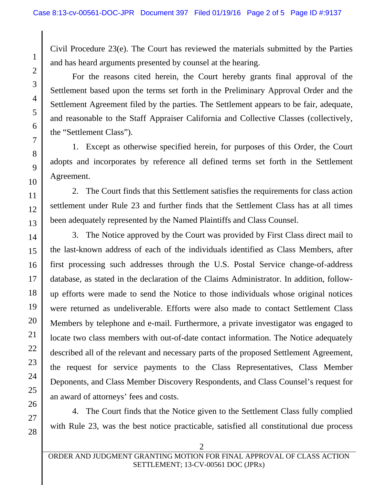Civil Procedure 23(e). The Court has reviewed the materials submitted by the Parties and has heard arguments presented by counsel at the hearing.

For the reasons cited herein, the Court hereby grants final approval of the Settlement based upon the terms set forth in the Preliminary Approval Order and the Settlement Agreement filed by the parties. The Settlement appears to be fair, adequate, and reasonable to the Staff Appraiser California and Collective Classes (collectively, the "Settlement Class").

1. Except as otherwise specified herein, for purposes of this Order, the Court adopts and incorporates by reference all defined terms set forth in the Settlement Agreement.

2. The Court finds that this Settlement satisfies the requirements for class action settlement under Rule 23 and further finds that the Settlement Class has at all times been adequately represented by the Named Plaintiffs and Class Counsel.

3. The Notice approved by the Court was provided by First Class direct mail to the last-known address of each of the individuals identified as Class Members, after first processing such addresses through the U.S. Postal Service change-of-address database, as stated in the declaration of the Claims Administrator. In addition, followup efforts were made to send the Notice to those individuals whose original notices were returned as undeliverable. Efforts were also made to contact Settlement Class Members by telephone and e-mail. Furthermore, a private investigator was engaged to locate two class members with out-of-date contact information. The Notice adequately described all of the relevant and necessary parts of the proposed Settlement Agreement, the request for service payments to the Class Representatives, Class Member Deponents, and Class Member Discovery Respondents, and Class Counsel's request for an award of attorneys' fees and costs.

4. The Court finds that the Notice given to the Settlement Class fully complied with Rule 23, was the best notice practicable, satisfied all constitutional due process

 $\mathfrak{D}$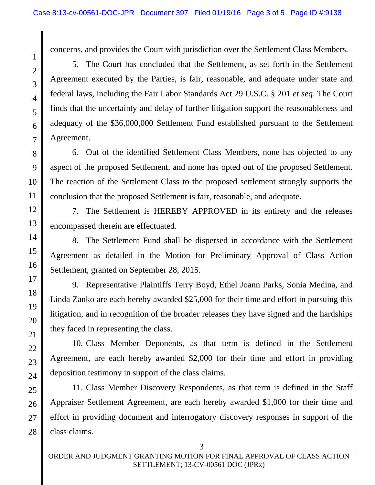concerns, and provides the Court with jurisdiction over the Settlement Class Members.

5. The Court has concluded that the Settlement, as set forth in the Settlement Agreement executed by the Parties, is fair, reasonable, and adequate under state and federal laws, including the Fair Labor Standards Act 29 U.S.C. § 201 *et seq*. The Court finds that the uncertainty and delay of further litigation support the reasonableness and adequacy of the \$36,000,000 Settlement Fund established pursuant to the Settlement Agreement.

6. Out of the identified Settlement Class Members, none has objected to any aspect of the proposed Settlement, and none has opted out of the proposed Settlement. The reaction of the Settlement Class to the proposed settlement strongly supports the conclusion that the proposed Settlement is fair, reasonable, and adequate.

7. The Settlement is HEREBY APPROVED in its entirety and the releases encompassed therein are effectuated.

8. The Settlement Fund shall be dispersed in accordance with the Settlement Agreement as detailed in the Motion for Preliminary Approval of Class Action Settlement, granted on September 28, 2015.

9. Representative Plaintiffs Terry Boyd, Ethel Joann Parks, Sonia Medina, and Linda Zanko are each hereby awarded \$25,000 for their time and effort in pursuing this litigation, and in recognition of the broader releases they have signed and the hardships they faced in representing the class.

10. Class Member Deponents, as that term is defined in the Settlement Agreement, are each hereby awarded \$2,000 for their time and effort in providing deposition testimony in support of the class claims.

11. Class Member Discovery Respondents, as that term is defined in the Staff Appraiser Settlement Agreement, are each hereby awarded \$1,000 for their time and effort in providing document and interrogatory discovery responses in support of the class claims.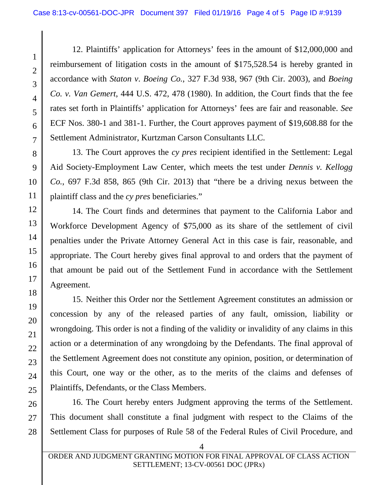12. Plaintiffs' application for Attorneys' fees in the amount of \$12,000,000 and reimbursement of litigation costs in the amount of \$175,528.54 is hereby granted in accordance with *Staton v*. *Boeing Co.*, 327 F.3d 938, 967 (9th Cir. 2003), and *Boeing Co. v. Van Gemert*, 444 U.S. 472, 478 (1980). In addition, the Court finds that the fee rates set forth in Plaintiffs' application for Attorneys' fees are fair and reasonable. *See*  ECF Nos. 380-1 and 381-1. Further, the Court approves payment of \$19,608.88 for the Settlement Administrator, Kurtzman Carson Consultants LLC.

13. The Court approves the *cy pres* recipient identified in the Settlement: Legal Aid Society-Employment Law Center, which meets the test under *Dennis v. Kellogg Co.*, 697 F.3d 858, 865 (9th Cir. 2013) that "there be a driving nexus between the plaintiff class and the *cy pres* beneficiaries."

14. The Court finds and determines that payment to the California Labor and Workforce Development Agency of \$75,000 as its share of the settlement of civil penalties under the Private Attorney General Act in this case is fair, reasonable, and appropriate. The Court hereby gives final approval to and orders that the payment of that amount be paid out of the Settlement Fund in accordance with the Settlement Agreement.

15. Neither this Order nor the Settlement Agreement constitutes an admission or concession by any of the released parties of any fault, omission, liability or wrongdoing. This order is not a finding of the validity or invalidity of any claims in this action or a determination of any wrongdoing by the Defendants. The final approval of the Settlement Agreement does not constitute any opinion, position, or determination of this Court, one way or the other, as to the merits of the claims and defenses of Plaintiffs, Defendants, or the Class Members.

16. The Court hereby enters Judgment approving the terms of the Settlement. This document shall constitute a final judgment with respect to the Claims of the Settlement Class for purposes of Rule 58 of the Federal Rules of Civil Procedure, and